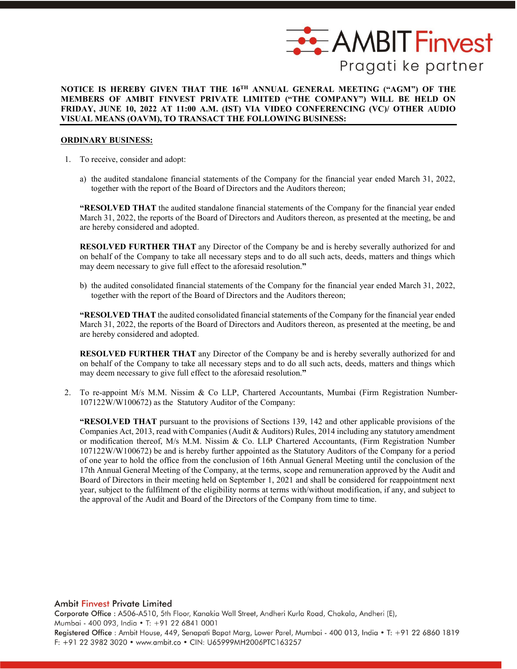

#### **NOTICE IS HEREBY GIVEN THAT THE 16TH ANNUAL GENERAL MEETING ("AGM") OF THE MEMBERS OF AMBIT FINVEST PRIVATE LIMITED ("THE COMPANY") WILL BE HELD ON FRIDAY, JUNE 10, 2022 AT 11:00 A.M. (IST) VIA VIDEO CONFERENCING (VC)/ OTHER AUDIO VISUAL MEANS (OAVM), TO TRANSACT THE FOLLOWING BUSINESS:**

#### **ORDINARY BUSINESS:**

- 1. To receive, consider and adopt:
	- a) the audited standalone financial statements of the Company for the financial year ended March 31, 2022, together with the report of the Board of Directors and the Auditors thereon;

**"RESOLVED THAT** the audited standalone financial statements of the Company for the financial year ended March 31, 2022, the reports of the Board of Directors and Auditors thereon, as presented at the meeting, be and are hereby considered and adopted.

**RESOLVED FURTHER THAT** any Director of the Company be and is hereby severally authorized for and on behalf of the Company to take all necessary steps and to do all such acts, deeds, matters and things which may deem necessary to give full effect to the aforesaid resolution.**"**

b) the audited consolidated financial statements of the Company for the financial year ended March 31, 2022, together with the report of the Board of Directors and the Auditors thereon;

**"RESOLVED THAT** the audited consolidated financial statements of the Company for the financial year ended March 31, 2022, the reports of the Board of Directors and Auditors thereon, as presented at the meeting, be and are hereby considered and adopted.

**RESOLVED FURTHER THAT** any Director of the Company be and is hereby severally authorized for and on behalf of the Company to take all necessary steps and to do all such acts, deeds, matters and things which may deem necessary to give full effect to the aforesaid resolution.**"**

2. To re-appoint M/s M.M. Nissim & Co LLP, Chartered Accountants, Mumbai (Firm Registration Number-107122W/W100672) as the Statutory Auditor of the Company:

**"RESOLVED THAT** pursuant to the provisions of Sections 139, 142 and other applicable provisions of the Companies Act, 2013, read with Companies (Audit & Auditors) Rules, 2014 including any statutory amendment or modification thereof, M/s M.M. Nissim & Co. LLP Chartered Accountants, (Firm Registration Number 107122W/W100672) be and is hereby further appointed as the Statutory Auditors of the Company for a period of one year to hold the office from the conclusion of 16th Annual General Meeting until the conclusion of the 17th Annual General Meeting of the Company, at the terms, scope and remuneration approved by the Audit and Board of Directors in their meeting held on September 1, 2021 and shall be considered for reappointment next year, subject to the fulfilment of the eligibility norms at terms with/without modification, if any, and subject to the approval of the Audit and Board of the Directors of the Company from time to time.

**Ambit Finvest Private Limited** Corporate Office : A506-A510, 5th Floor, Kanakia Wall Street, Andheri Kurla Road, Chakala, Andheri (E), Mumbai - 400 093, India · T: +91 22 6841 0001 Registered Office : Ambit House, 449, Senapati Bapat Marg, Lower Parel, Mumbai - 400 013, India • T: +91 22 6860 1819 F: +91 22 3982 3020 • www.ambit.co • CIN: U65999MH2006PTC163257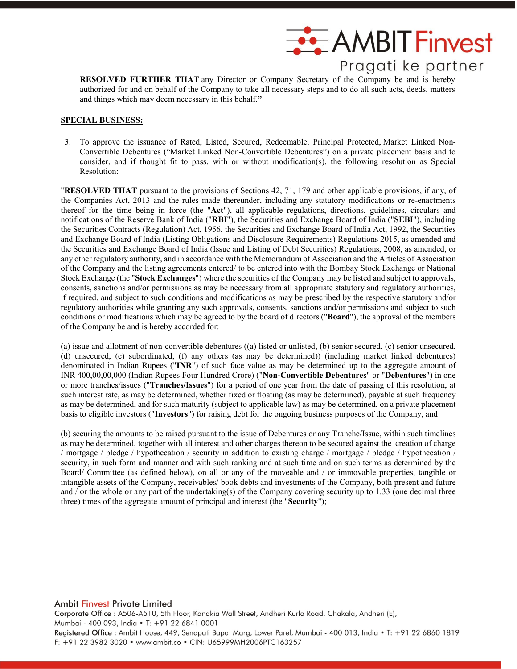

**RESOLVED FURTHER THAT** any Director or Company Secretary of the Company be and is hereby authorized for and on behalf of the Company to take all necessary steps and to do all such acts, deeds, matters and things which may deem necessary in this behalf.**"**

#### **SPECIAL BUSINESS:**

3. To approve the issuance of Rated, Listed, Secured, Redeemable, Principal Protected, Market Linked Non-Convertible Debentures ("Market Linked Non-Convertible Debentures") on a private placement basis and to consider, and if thought fit to pass, with or without modification(s), the following resolution as Special Resolution:

"**RESOLVED THAT** pursuant to the provisions of Sections 42, 71, 179 and other applicable provisions, if any, of the Companies Act, 2013 and the rules made thereunder, including any statutory modifications or re-enactments thereof for the time being in force (the "**Act**"), all applicable regulations, directions, guidelines, circulars and notifications of the Reserve Bank of India ("**RBI**"), the Securities and Exchange Board of India ("**SEBI**"), including the Securities Contracts (Regulation) Act, 1956, the Securities and Exchange Board of India Act, 1992, the Securities and Exchange Board of India (Listing Obligations and Disclosure Requirements) Regulations 2015, as amended and the Securities and Exchange Board of India (Issue and Listing of Debt Securities) Regulations, 2008, as amended, or any other regulatory authority, and in accordance with the Memorandum of Association and the Articles of Association of the Company and the listing agreements entered/ to be entered into with the Bombay Stock Exchange or National Stock Exchange (the "**Stock Exchanges**") where the securities of the Company may be listed and subject to approvals, consents, sanctions and/or permissions as may be necessary from all appropriate statutory and regulatory authorities, if required, and subject to such conditions and modifications as may be prescribed by the respective statutory and/or regulatory authorities while granting any such approvals, consents, sanctions and/or permissions and subject to such conditions or modifications which may be agreed to by the board of directors ("**Board**"), the approval of the members of the Company be and is hereby accorded for:

(a) issue and allotment of non-convertible debentures ((a) listed or unlisted, (b) senior secured, (c) senior unsecured, (d) unsecured, (e) subordinated, (f) any others (as may be determined)) (including market linked debentures) denominated in Indian Rupees ("**INR**") of such face value as may be determined up to the aggregate amount of INR 400,00,00,000 (Indian Rupees Four Hundred Crore) ("**Non-Convertible Debentures**" or "**Debentures**") in one or more tranches/issues ("**Tranches/Issues**") for a period of one year from the date of passing of this resolution, at such interest rate, as may be determined, whether fixed or floating (as may be determined), payable at such frequency as may be determined, and for such maturity (subject to applicable law) as may be determined, on a private placement basis to eligible investors ("**Investors**") for raising debt for the ongoing business purposes of the Company, and

(b) securing the amounts to be raised pursuant to the issue of Debentures or any Tranche/Issue, within such timelines as may be determined, together with all interest and other charges thereon to be secured against the creation of charge / mortgage / pledge / hypothecation / security in addition to existing charge / mortgage / pledge / hypothecation / security, in such form and manner and with such ranking and at such time and on such terms as determined by the Board/ Committee (as defined below), on all or any of the moveable and / or immovable properties, tangible or intangible assets of the Company, receivables/ book debts and investments of the Company, both present and future and / or the whole or any part of the undertaking(s) of the Company covering security up to 1.33 (one decimal three three) times of the aggregate amount of principal and interest (the "**Security**");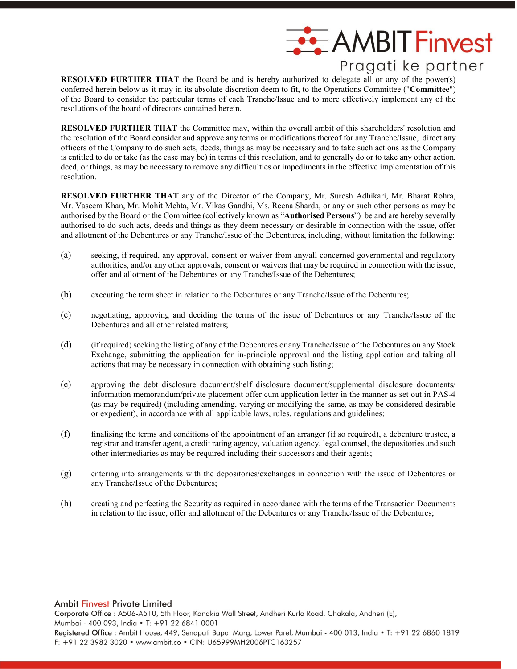

**RESOLVED FURTHER THAT** the Board be and is hereby authorized to delegate all or any of the power(s) conferred herein below as it may in its absolute discretion deem to fit, to the Operations Committee ("**Committee**") of the Board to consider the particular terms of each Tranche/Issue and to more effectively implement any of the resolutions of the board of directors contained herein.

**RESOLVED FURTHER THAT** the Committee may, within the overall ambit of this shareholders' resolution and the resolution of the Board consider and approve any terms or modifications thereof for any Tranche/Issue, direct any officers of the Company to do such acts, deeds, things as may be necessary and to take such actions as the Company is entitled to do or take (as the case may be) in terms of this resolution, and to generally do or to take any other action, deed, or things, as may be necessary to remove any difficulties or impediments in the effective implementation of this resolution.

**RESOLVED FURTHER THAT** any of the Director of the Company, Mr. Suresh Adhikari, Mr. Bharat Rohra, Mr. Vaseem Khan, Mr. Mohit Mehta, Mr. Vikas Gandhi, Ms. Reena Sharda, or any or such other persons as may be authorised by the Board or the Committee (collectively known as "**Authorised Persons**") be and are hereby severally authorised to do such acts, deeds and things as they deem necessary or desirable in connection with the issue, offer and allotment of the Debentures or any Tranche/Issue of the Debentures, including, without limitation the following:

- (a) seeking, if required, any approval, consent or waiver from any/all concerned governmental and regulatory authorities, and/or any other approvals, consent or waivers that may be required in connection with the issue, offer and allotment of the Debentures or any Tranche/Issue of the Debentures;
- (b) executing the term sheet in relation to the Debentures or any Tranche/Issue of the Debentures;
- (c) negotiating, approving and deciding the terms of the issue of Debentures or any Tranche/Issue of the Debentures and all other related matters;
- (d) (if required) seeking the listing of any of the Debentures or any Tranche/Issue of the Debentures on any Stock Exchange, submitting the application for in-principle approval and the listing application and taking all actions that may be necessary in connection with obtaining such listing;
- (e) approving the debt disclosure document/shelf disclosure document/supplemental disclosure documents/ information memorandum/private placement offer cum application letter in the manner as set out in PAS-4 (as may be required) (including amending, varying or modifying the same, as may be considered desirable or expedient), in accordance with all applicable laws, rules, regulations and guidelines;
- (f) finalising the terms and conditions of the appointment of an arranger (if so required), a debenture trustee, a registrar and transfer agent, a credit rating agency, valuation agency, legal counsel, the depositories and such other intermediaries as may be required including their successors and their agents;
- (g) entering into arrangements with the depositories/exchanges in connection with the issue of Debentures or any Tranche/Issue of the Debentures;
- (h) creating and perfecting the Security as required in accordance with the terms of the Transaction Documents in relation to the issue, offer and allotment of the Debentures or any Tranche/Issue of the Debentures;

#### **Ambit Finvest Private Limited**

Corporate Office: A506-A510, 5th Floor, Kanakia Wall Street, Andheri Kurla Road, Chakala, Andheri (E), Mumbai - 400 093, India · T: +91 22 6841 0001 Registered Office: Ambit House, 449, Senapati Bapat Marg, Lower Parel, Mumbai - 400 013, India . T: +91 22 6860 1819 F: +91 22 3982 3020 • www.ambit.co • CIN: U65999MH2006PTC163257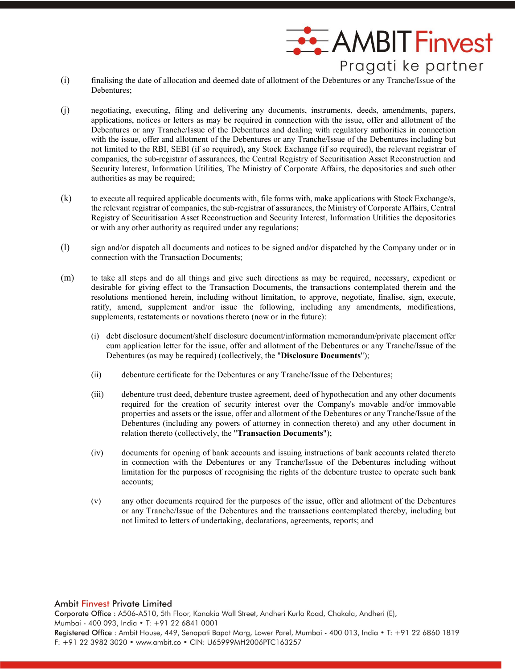

- (i) finalising the date of allocation and deemed date of allotment of the Debentures or any Tranche/Issue of the Debentures;
- (j) negotiating, executing, filing and delivering any documents, instruments, deeds, amendments, papers, applications, notices or letters as may be required in connection with the issue, offer and allotment of the Debentures or any Tranche/Issue of the Debentures and dealing with regulatory authorities in connection with the issue, offer and allotment of the Debentures or any Tranche/Issue of the Debentures including but not limited to the RBI, SEBI (if so required), any Stock Exchange (if so required), the relevant registrar of companies, the sub-registrar of assurances, the Central Registry of Securitisation Asset Reconstruction and Security Interest, Information Utilities, The Ministry of Corporate Affairs, the depositories and such other authorities as may be required;
- (k) to execute all required applicable documents with, file forms with, make applications with Stock Exchange/s, the relevant registrar of companies, the sub-registrar of assurances, the Ministry of Corporate Affairs, Central Registry of Securitisation Asset Reconstruction and Security Interest, Information Utilities the depositories or with any other authority as required under any regulations;
- (l) sign and/or dispatch all documents and notices to be signed and/or dispatched by the Company under or in connection with the Transaction Documents;
- (m) to take all steps and do all things and give such directions as may be required, necessary, expedient or desirable for giving effect to the Transaction Documents, the transactions contemplated therein and the resolutions mentioned herein, including without limitation, to approve, negotiate, finalise, sign, execute, ratify, amend, supplement and/or issue the following, including any amendments, modifications, supplements, restatements or novations thereto (now or in the future):
	- (i) debt disclosure document/shelf disclosure document/information memorandum/private placement offer cum application letter for the issue, offer and allotment of the Debentures or any Tranche/Issue of the Debentures (as may be required) (collectively, the "**Disclosure Documents**");
	- (ii) debenture certificate for the Debentures or any Tranche/Issue of the Debentures;
	- (iii) debenture trust deed, debenture trustee agreement, deed of hypothecation and any other documents required for the creation of security interest over the Company's movable and/or immovable properties and assets or the issue, offer and allotment of the Debentures or any Tranche/Issue of the Debentures (including any powers of attorney in connection thereto) and any other document in relation thereto (collectively, the "**Transaction Documents**");
	- (iv) documents for opening of bank accounts and issuing instructions of bank accounts related thereto in connection with the Debentures or any Tranche/Issue of the Debentures including without limitation for the purposes of recognising the rights of the debenture trustee to operate such bank accounts;
	- (v) any other documents required for the purposes of the issue, offer and allotment of the Debentures or any Tranche/Issue of the Debentures and the transactions contemplated thereby, including but not limited to letters of undertaking, declarations, agreements, reports; and

#### **Ambit Finvest Private Limited**

Corporate Office : A506-A510, 5th Floor, Kanakia Wall Street, Andheri Kurla Road, Chakala, Andheri (E), Mumbai - 400 093, India · T: +91 22 6841 0001 Registered Office: Ambit House, 449, Senapati Bapat Marg, Lower Parel, Mumbai - 400 013, India . T: +91 22 6860 1819 F: +91 22 3982 3020 • www.ambit.co • CIN: U65999MH2006PTC163257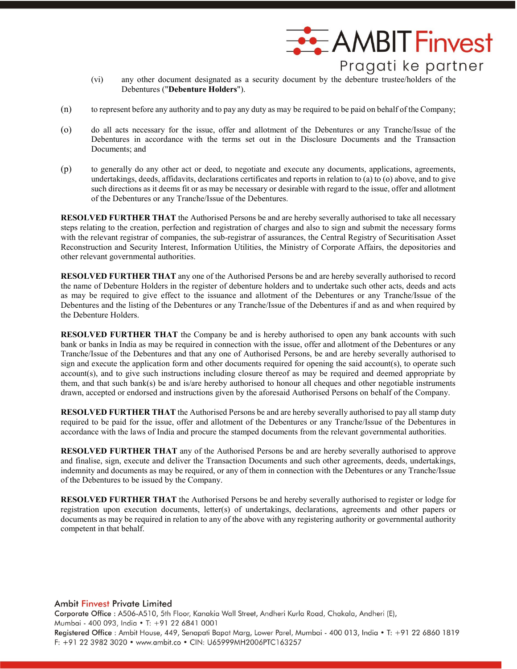

- (vi) any other document designated as a security document by the debenture trustee/holders of the Debentures ("**Debenture Holders**").
- (n) to represent before any authority and to pay any duty as may be required to be paid on behalf of the Company;
- (o) do all acts necessary for the issue, offer and allotment of the Debentures or any Tranche/Issue of the Debentures in accordance with the terms set out in the Disclosure Documents and the Transaction Documents; and
- (p) to generally do any other act or deed, to negotiate and execute any documents, applications, agreements, undertakings, deeds, affidavits, declarations certificates and reports in relation to (a) to (o) above, and to give such directions as it deems fit or as may be necessary or desirable with regard to the issue, offer and allotment of the Debentures or any Tranche/Issue of the Debentures.

**RESOLVED FURTHER THAT** the Authorised Persons be and are hereby severally authorised to take all necessary steps relating to the creation, perfection and registration of charges and also to sign and submit the necessary forms with the relevant registrar of companies, the sub-registrar of assurances, the Central Registry of Securitisation Asset Reconstruction and Security Interest, Information Utilities, the Ministry of Corporate Affairs, the depositories and other relevant governmental authorities.

**RESOLVED FURTHER THAT** any one of the Authorised Persons be and are hereby severally authorised to record the name of Debenture Holders in the register of debenture holders and to undertake such other acts, deeds and acts as may be required to give effect to the issuance and allotment of the Debentures or any Tranche/Issue of the Debentures and the listing of the Debentures or any Tranche/Issue of the Debentures if and as and when required by the Debenture Holders.

**RESOLVED FURTHER THAT** the Company be and is hereby authorised to open any bank accounts with such bank or banks in India as may be required in connection with the issue, offer and allotment of the Debentures or any Tranche/Issue of the Debentures and that any one of Authorised Persons, be and are hereby severally authorised to sign and execute the application form and other documents required for opening the said account(s), to operate such account(s), and to give such instructions including closure thereof as may be required and deemed appropriate by them, and that such bank(s) be and is/are hereby authorised to honour all cheques and other negotiable instruments drawn, accepted or endorsed and instructions given by the aforesaid Authorised Persons on behalf of the Company.

**RESOLVED FURTHER THAT** the Authorised Persons be and are hereby severally authorised to pay all stamp duty required to be paid for the issue, offer and allotment of the Debentures or any Tranche/Issue of the Debentures in accordance with the laws of India and procure the stamped documents from the relevant governmental authorities.

**RESOLVED FURTHER THAT** any of the Authorised Persons be and are hereby severally authorised to approve and finalise, sign, execute and deliver the Transaction Documents and such other agreements, deeds, undertakings, indemnity and documents as may be required, or any of them in connection with the Debentures or any Tranche/Issue of the Debentures to be issued by the Company.

**RESOLVED FURTHER THAT** the Authorised Persons be and hereby severally authorised to register or lodge for registration upon execution documents, letter(s) of undertakings, declarations, agreements and other papers or documents as may be required in relation to any of the above with any registering authority or governmental authority competent in that behalf.

**Ambit Finvest Private Limited** Corporate Office: A506-A510, 5th Floor, Kanakia Wall Street, Andheri Kurla Road, Chakala, Andheri (E), Mumbai - 400 093, India · T: +91 22 6841 0001 Registered Office : Ambit House, 449, Senapati Bapat Marg, Lower Parel, Mumbai - 400 013, India . T: +91 22 6860 1819 F: +91 22 3982 3020 • www.ambit.co • CIN: U65999MH2006PTC163257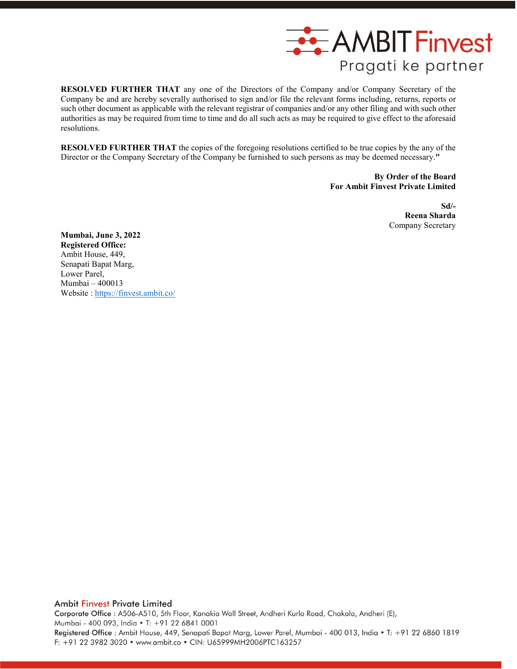

**RESOLVED FURTHER THAT** any one of the Directors of the Company and/or Company Secretary of the Company be and are hereby severally authorised to sign and/or file the relevant forms including, returns, reports or such other document as applicable with the relevant registrar of companies and/or any other filing and with such other authorities as may be required from time to time and do all such acts as may be required to give effect to the aforesaid resolutions.

**RESOLVED FURTHER THAT** the copies of the foregoing resolutions certified to be true copies by the any of the Director or the Company Secretary of the Company be furnished to such persons as may be deemed necessary.**"** 

> **By Order of the Board For Ambit Finvest Private Limited**

> > **Sd/- Reena Sharda** Company Secretary

**Mumbai, June 3, 2022 Registered Office:** Ambit House, 449, Senapati Bapat Marg, Lower Parel, Mumbai – 400013 Website : <https://finvest.ambit.co/>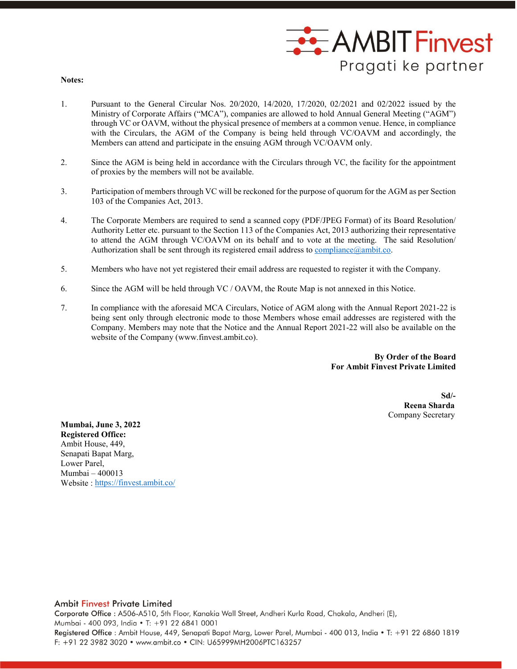

**Notes:**

- 1. Pursuant to the General Circular Nos. 20/2020, 14/2020, 17/2020, 02/2021 and 02/2022 issued by the Ministry of Corporate Affairs ("MCA"), companies are allowed to hold Annual General Meeting ("AGM") through VC or OAVM, without the physical presence of members at a common venue. Hence, in compliance with the Circulars, the AGM of the Company is being held through VC/OAVM and accordingly, the Members can attend and participate in the ensuing AGM through VC/OAVM only.
- 2. Since the AGM is being held in accordance with the Circulars through VC, the facility for the appointment of proxies by the members will not be available.
- 3. Participation of members through VC will be reckoned for the purpose of quorum for the AGM as per Section 103 of the Companies Act, 2013.
- 4. The Corporate Members are required to send a scanned copy (PDF/JPEG Format) of its Board Resolution/ Authority Letter etc. pursuant to the Section 113 of the Companies Act, 2013 authorizing their representative to attend the AGM through VC/OAVM on its behalf and to vote at the meeting. The said Resolution/ Authorization shall be sent through its registered email address to compliance  $\omega$  ambit.co.
- 5. Members who have not yet registered their email address are requested to register it with the Company.
- 6. Since the AGM will be held through VC / OAVM, the Route Map is not annexed in this Notice.
- 7. In compliance with the aforesaid MCA Circulars, Notice of AGM along with the Annual Report 2021-22 is being sent only through electronic mode to those Members whose email addresses are registered with the Company. Members may note that the Notice and the Annual Report 2021-22 will also be available on the website of the Company (www.finvest.ambit.co).

 **By Order of the Board For Ambit Finvest Private Limited**

> **Sd/- Reena Sharda** Company Secretary

**Mumbai, June 3, 2022 Registered Office:** Ambit House, 449, Senapati Bapat Marg, Lower Parel, Mumbai – 400013 Website : https://finvest.ambit.co/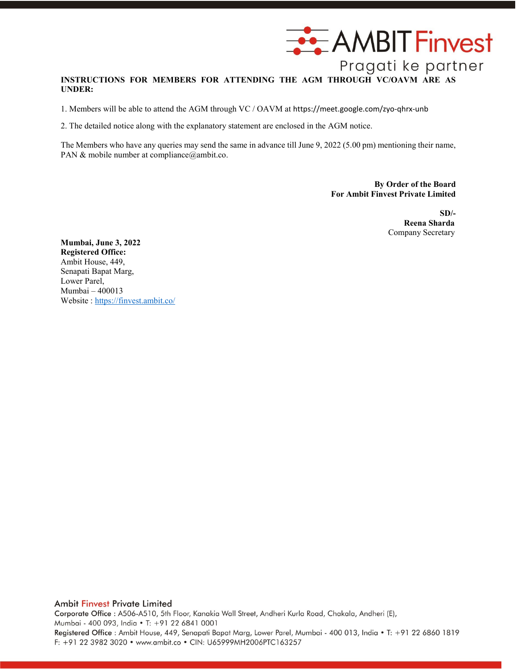

# **INSTRUCTIONS FOR MEMBERS FOR ATTENDING THE AGM THROUGH VC/OAVM ARE AS UNDER:**

1. Members will be able to attend the AGM through VC / OAVM at <https://meet.google.com/zyo-qhrx-unb>

2. The detailed notice along with the explanatory statement are enclosed in the AGM notice.

The Members who have any queries may send the same in advance till June 9, 2022 (5.00 pm) mentioning their name, PAN & mobile number at compliance@ambit.co.

> **By Order of the Board For Ambit Finvest Private Limited**

> > **SD/- Reena Sharda** Company Secretary

**Mumbai, June 3, 2022 Registered Office:** Ambit House, 449, Senapati Bapat Marg, Lower Parel, Mumbai – 400013 Website : https://finvest.ambit.co/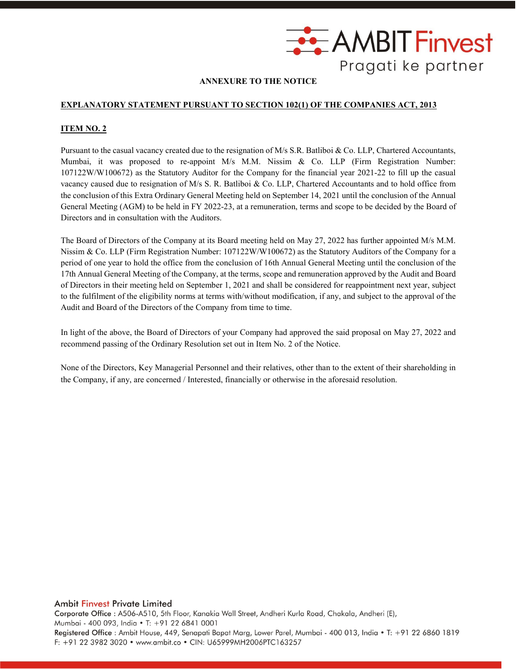

### **ANNEXURE TO THE NOTICE**

#### **EXPLANATORY STATEMENT PURSUANT TO SECTION 102(1) OF THE COMPANIES ACT, 2013**

#### **ITEM NO. 2**

Pursuant to the casual vacancy created due to the resignation of M/s S.R. Batliboi & Co. LLP, Chartered Accountants, Mumbai, it was proposed to re-appoint M/s M.M. Nissim & Co. LLP (Firm Registration Number: 107122W/W100672) as the Statutory Auditor for the Company for the financial year 2021-22 to fill up the casual vacancy caused due to resignation of M/s S. R. Batliboi & Co. LLP, Chartered Accountants and to hold office from the conclusion of this Extra Ordinary General Meeting held on September 14, 2021 until the conclusion of the Annual General Meeting (AGM) to be held in FY 2022-23, at a remuneration, terms and scope to be decided by the Board of Directors and in consultation with the Auditors.

The Board of Directors of the Company at its Board meeting held on May 27, 2022 has further appointed M/s M.M. Nissim & Co. LLP (Firm Registration Number: 107122W/W100672) as the Statutory Auditors of the Company for a period of one year to hold the office from the conclusion of 16th Annual General Meeting until the conclusion of the 17th Annual General Meeting of the Company, at the terms, scope and remuneration approved by the Audit and Board of Directors in their meeting held on September 1, 2021 and shall be considered for reappointment next year, subject to the fulfilment of the eligibility norms at terms with/without modification, if any, and subject to the approval of the Audit and Board of the Directors of the Company from time to time.

In light of the above, the Board of Directors of your Company had approved the said proposal on May 27, 2022 and recommend passing of the Ordinary Resolution set out in Item No. 2 of the Notice.

None of the Directors, Key Managerial Personnel and their relatives, other than to the extent of their shareholding in the Company, if any, are concerned / Interested, financially or otherwise in the aforesaid resolution.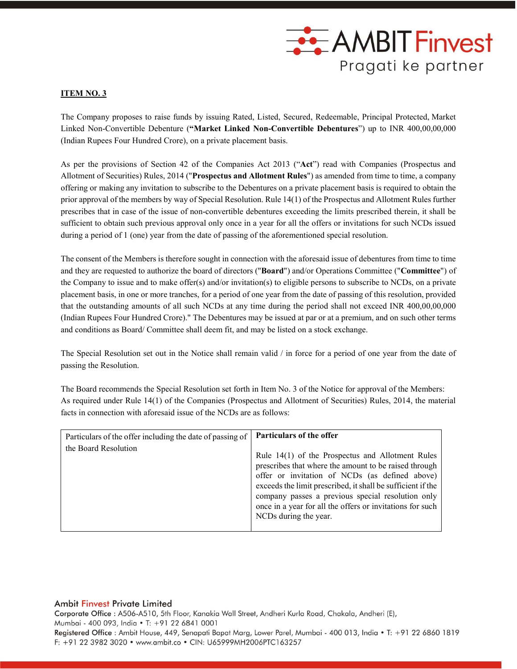

#### **ITEM NO. 3**

The Company proposes to raise funds by issuing Rated, Listed, Secured, Redeemable, Principal Protected, Market Linked Non-Convertible Debenture (**"Market Linked Non-Convertible Debentures**") up to INR 400,00,00,000 (Indian Rupees Four Hundred Crore), on a private placement basis.

As per the provisions of Section 42 of the Companies Act 2013 ("**Act**") read with Companies (Prospectus and Allotment of Securities) Rules, 2014 ("**Prospectus and Allotment Rules**") as amended from time to time, a company offering or making any invitation to subscribe to the Debentures on a private placement basis is required to obtain the prior approval of the members by way of Special Resolution. Rule 14(1) of the Prospectus and Allotment Rules further prescribes that in case of the issue of non-convertible debentures exceeding the limits prescribed therein, it shall be sufficient to obtain such previous approval only once in a year for all the offers or invitations for such NCDs issued during a period of 1 (one) year from the date of passing of the aforementioned special resolution.

The consent of the Members is therefore sought in connection with the aforesaid issue of debentures from time to time and they are requested to authorize the board of directors ("**Board**") and/or Operations Committee ("**Committee**") of the Company to issue and to make offer(s) and/or invitation(s) to eligible persons to subscribe to NCDs, on a private placement basis, in one or more tranches, for a period of one year from the date of passing of this resolution, provided that the outstanding amounts of all such NCDs at any time during the period shall not exceed INR 400,00,00,000 (Indian Rupees Four Hundred Crore)." The Debentures may be issued at par or at a premium, and on such other terms and conditions as Board/ Committee shall deem fit, and may be listed on a stock exchange.

The Special Resolution set out in the Notice shall remain valid / in force for a period of one year from the date of passing the Resolution.

The Board recommends the Special Resolution set forth in Item No. 3 of the Notice for approval of the Members: As required under Rule 14(1) of the Companies (Prospectus and Allotment of Securities) Rules, 2014, the material facts in connection with aforesaid issue of the NCDs are as follows:

| Particulars of the offer including the date of passing of | Particulars of the offer                                                                                                                                                                                                                                                                                                                                              |
|-----------------------------------------------------------|-----------------------------------------------------------------------------------------------------------------------------------------------------------------------------------------------------------------------------------------------------------------------------------------------------------------------------------------------------------------------|
| the Board Resolution                                      | Rule 14(1) of the Prospectus and Allotment Rules<br>prescribes that where the amount to be raised through<br>offer or invitation of NCDs (as defined above)<br>exceeds the limit prescribed, it shall be sufficient if the<br>company passes a previous special resolution only<br>once in a year for all the offers or invitations for such<br>NCDs during the year. |

#### Ambit Finvest Private Limited

Corporate Office : A506-A510, 5th Floor, Kanakia Wall Street, Andheri Kurla Road, Chakala, Andheri (E), Mumbai - 400 093, India · T: +91 22 6841 0001 Registered Office: Ambit House, 449, Senapati Bapat Marg, Lower Parel, Mumbai - 400 013, India . T: +91 22 6860 1819 F: +91 22 3982 3020 • www.ambit.co • CIN: U65999MH2006PTC163257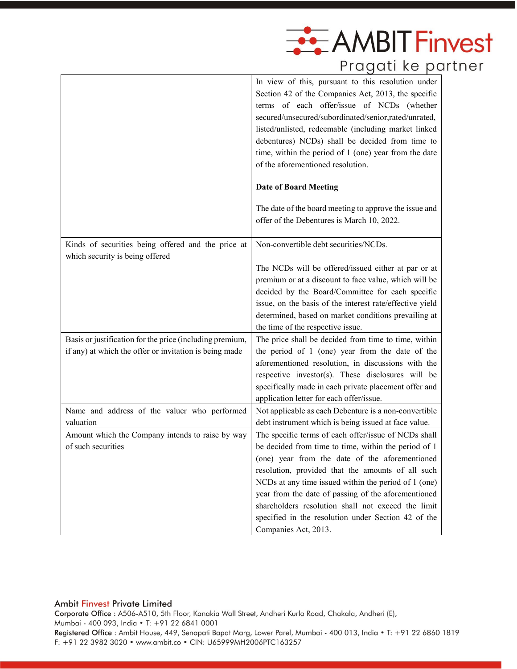

| Pragati ke partneı |
|--------------------|
|                    |

|                                                                                                                    | In view of this, pursuant to this resolution under<br>Section 42 of the Companies Act, 2013, the specific<br>terms of each offer/issue of NCDs (whether<br>secured/unsecured/subordinated/senior.rated/unrated,<br>listed/unlisted, redeemable (including market linked<br>debentures) NCDs) shall be decided from time to<br>time, within the period of 1 (one) year from the date<br>of the aforementioned resolution. |
|--------------------------------------------------------------------------------------------------------------------|--------------------------------------------------------------------------------------------------------------------------------------------------------------------------------------------------------------------------------------------------------------------------------------------------------------------------------------------------------------------------------------------------------------------------|
|                                                                                                                    | <b>Date of Board Meeting</b>                                                                                                                                                                                                                                                                                                                                                                                             |
|                                                                                                                    | The date of the board meeting to approve the issue and<br>offer of the Debentures is March 10, 2022.                                                                                                                                                                                                                                                                                                                     |
| Kinds of securities being offered and the price at<br>which security is being offered                              | Non-convertible debt securities/NCDs.                                                                                                                                                                                                                                                                                                                                                                                    |
|                                                                                                                    | The NCDs will be offered/issued either at par or at<br>premium or at a discount to face value, which will be<br>decided by the Board/Committee for each specific<br>issue, on the basis of the interest rate/effective yield<br>determined, based on market conditions prevailing at<br>the time of the respective issue.                                                                                                |
| Basis or justification for the price (including premium,<br>if any) at which the offer or invitation is being made | The price shall be decided from time to time, within<br>the period of 1 (one) year from the date of the<br>aforementioned resolution, in discussions with the<br>respective investor(s). These disclosures will be<br>specifically made in each private placement offer and<br>application letter for each offer/issue.                                                                                                  |
| Name and address of the valuer who performed<br>valuation                                                          | Not applicable as each Debenture is a non-convertible<br>debt instrument which is being issued at face value.                                                                                                                                                                                                                                                                                                            |
| Amount which the Company intends to raise by way<br>of such securities                                             | The specific terms of each offer/issue of NCDs shall<br>be decided from time to time, within the period of 1                                                                                                                                                                                                                                                                                                             |
|                                                                                                                    | (one) year from the date of the aforementioned<br>resolution, provided that the amounts of all such<br>NCDs at any time issued within the period of 1 (one)<br>year from the date of passing of the aforementioned<br>shareholders resolution shall not exceed the limit<br>specified in the resolution under Section 42 of the<br>Companies Act, 2013.                                                                  |

### Ambit Finvest Private Limited

Corporate Office : A506-A510, 5th Floor, Kanakia Wall Street, Andheri Kurla Road, Chakala, Andheri (E), Mumbai - 400 093, India • T: +91 22 6841 0001 Registered Office: Ambit House, 449, Senapati Bapat Marg, Lower Parel, Mumbai - 400 013, India . T: +91 22 6860 1819 F: +91 22 3982 3020 • www.ambit.co • CIN: U65999MH2006PTC163257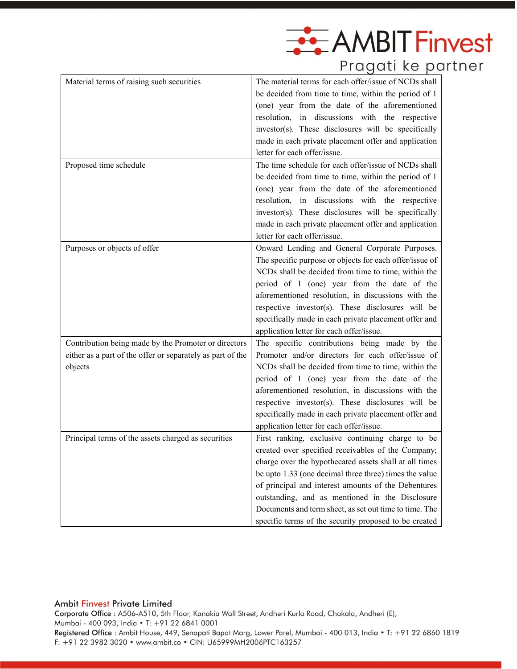

| Material terms of raising such securities                                                                                     | The material terms for each offer/issue of NCDs shall<br>be decided from time to time, within the period of 1<br>(one) year from the date of the aforementioned<br>resolution, in discussions with the respective<br>investor(s). These disclosures will be specifically<br>made in each private placement offer and application<br>letter for each offer/issue.                                                                                        |
|-------------------------------------------------------------------------------------------------------------------------------|---------------------------------------------------------------------------------------------------------------------------------------------------------------------------------------------------------------------------------------------------------------------------------------------------------------------------------------------------------------------------------------------------------------------------------------------------------|
| Proposed time schedule                                                                                                        | The time schedule for each offer/issue of NCDs shall<br>be decided from time to time, within the period of 1<br>(one) year from the date of the aforementioned<br>resolution, in discussions with the respective<br>investor(s). These disclosures will be specifically<br>made in each private placement offer and application<br>letter for each offer/issue.                                                                                         |
| Purposes or objects of offer                                                                                                  | Onward Lending and General Corporate Purposes.<br>The specific purpose or objects for each offer/issue of<br>NCDs shall be decided from time to time, within the<br>period of 1 (one) year from the date of the<br>aforementioned resolution, in discussions with the<br>respective investor(s). These disclosures will be<br>specifically made in each private placement offer and<br>application letter for each offer/issue.                         |
| Contribution being made by the Promoter or directors<br>either as a part of the offer or separately as part of the<br>objects | The specific contributions being made by the<br>Promoter and/or directors for each offer/issue of<br>NCDs shall be decided from time to time, within the<br>period of 1 (one) year from the date of the<br>aforementioned resolution, in discussions with the<br>respective investor(s). These disclosures will be<br>specifically made in each private placement offer and<br>application letter for each offer/issue.                                 |
| Principal terms of the assets charged as securities                                                                           | First ranking, exclusive continuing charge to be<br>created over specified receivables of the Company;<br>charge over the hypothecated assets shall at all times<br>be upto 1.33 (one decimal three three) times the value<br>of principal and interest amounts of the Debentures<br>outstanding, and as mentioned in the Disclosure<br>Documents and term sheet, as set out time to time. The<br>specific terms of the security proposed to be created |

### Ambit Finvest Private Limited

Corporate Office : A506-A510, 5th Floor, Kanakia Wall Street, Andheri Kurla Road, Chakala, Andheri (E), Mumbai - 400 093, India • T: +91 22 6841 0001 Registered Office : Ambit House, 449, Senapati Bapat Marg, Lower Parel, Mumbai - 400 013, India . T: +91 22 6860 1819 F: +91 22 3982 3020 • www.ambit.co • CIN: U65999MH2006PTC163257